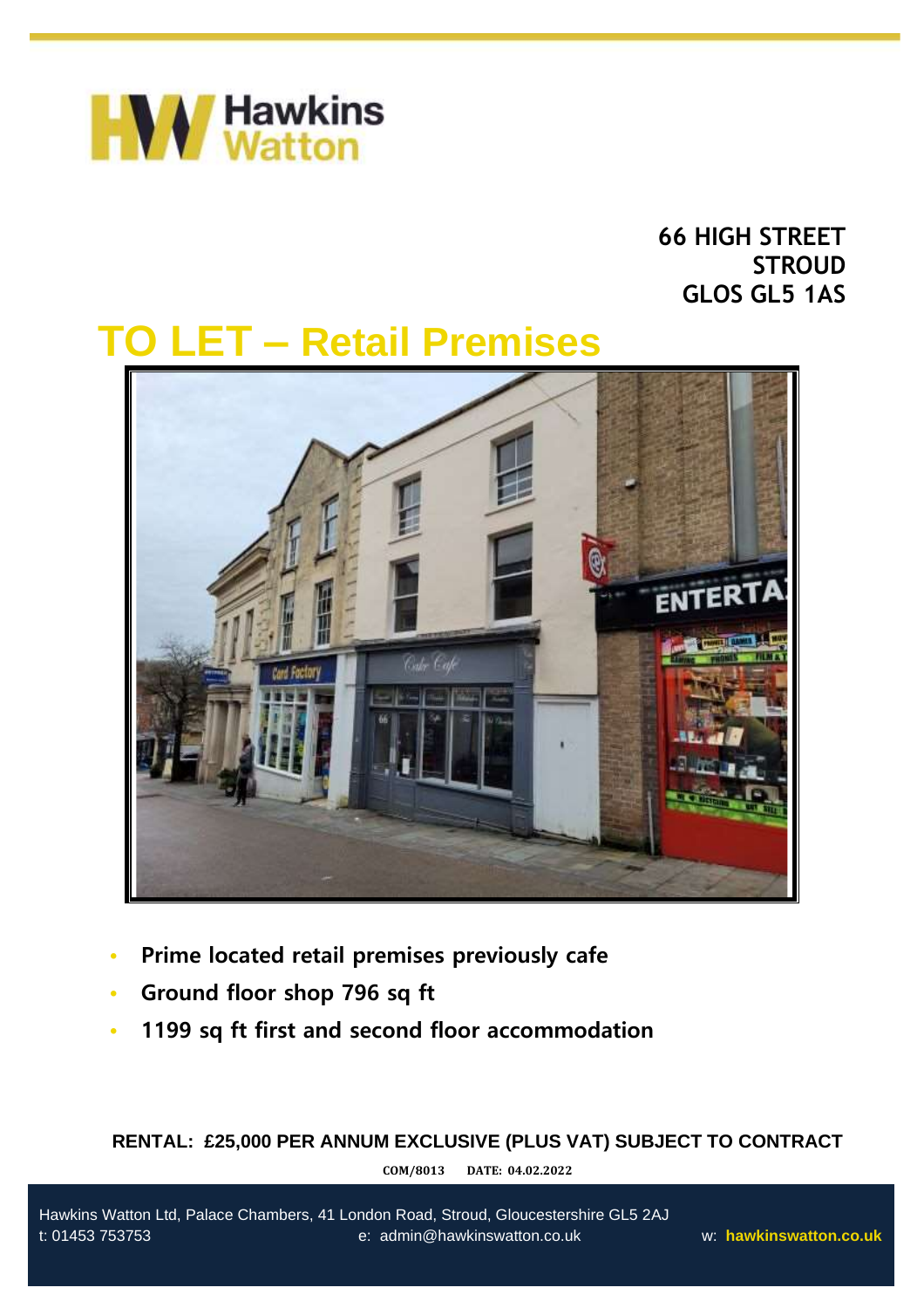

# **66 HIGH STREET STROUD GLOS GL5 1AS**

# **TO LET – Retail Premises**



- **• Prime located retail premises previously cafe**
- **• Ground floor shop 796 sq ft**

•

**• 1199 sq ft first and second floor accommodation**

# **RENTAL: £25,000 PER ANNUM EXCLUSIVE (PLUS VAT) SUBJECT TO CONTRACT**

**COM/8013 DATE: 04.02.2022**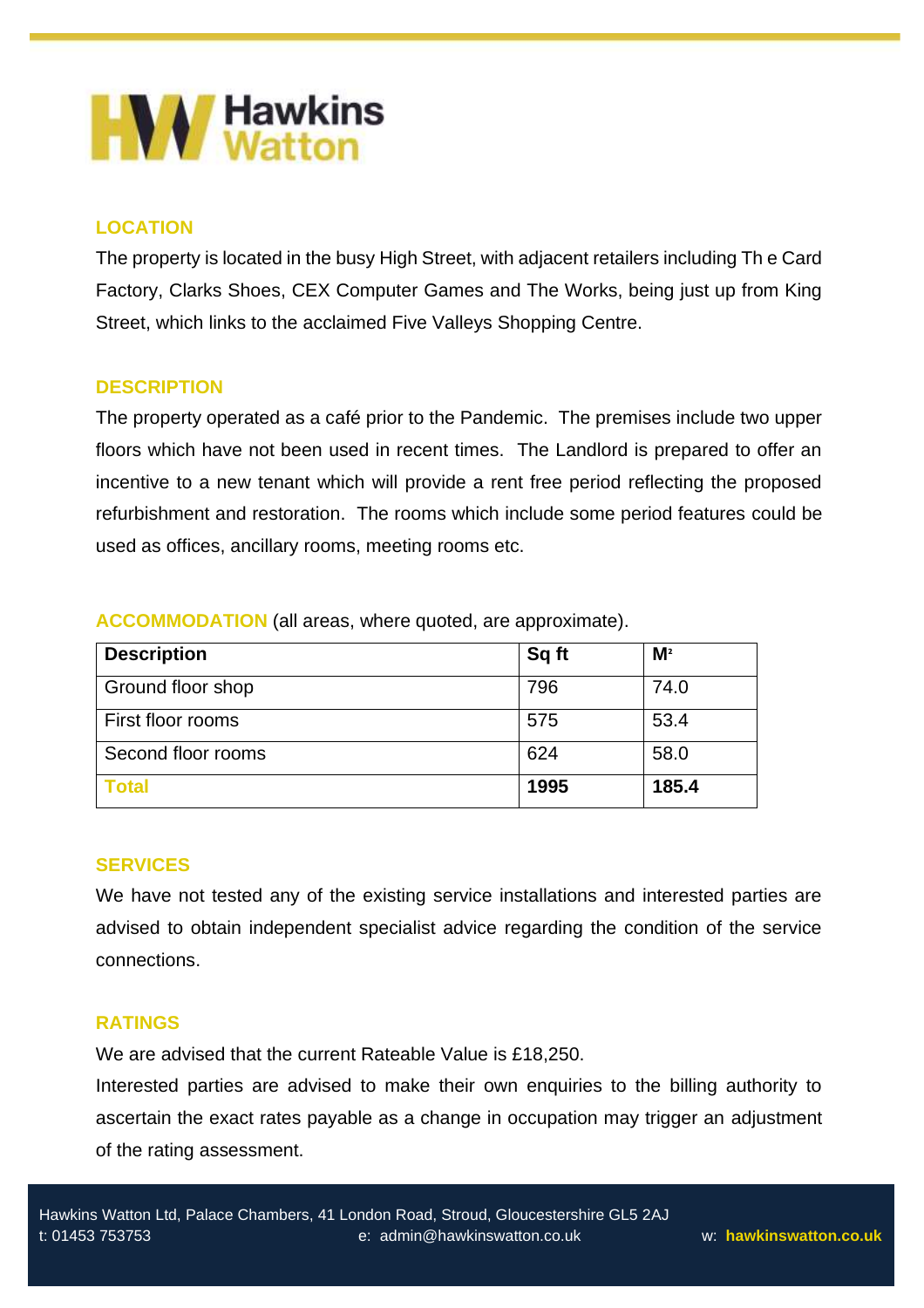

# **LOCATION**

The property is located in the busy High Street, with adjacent retailers including Th e Card Factory, Clarks Shoes, CEX Computer Games and The Works, being just up from King Street, which links to the acclaimed Five Valleys Shopping Centre.

# **DESCRIPTION**

The property operated as a café prior to the Pandemic. The premises include two upper floors which have not been used in recent times. The Landlord is prepared to offer an incentive to a new tenant which will provide a rent free period reflecting the proposed refurbishment and restoration. The rooms which include some period features could be used as offices, ancillary rooms, meeting rooms etc.

**ACCOMMODATION** (all areas, where quoted, are approximate).

| <b>Description</b> | Sq ft | M <sup>2</sup> |
|--------------------|-------|----------------|
| Ground floor shop  | 796   | 74.0           |
| First floor rooms  | 575   | 53.4           |
| Second floor rooms | 624   | 58.0           |
| <b>Total</b>       | 1995  | 185.4          |

### **SERVICES**

We have not tested any of the existing service installations and interested parties are advised to obtain independent specialist advice regarding the condition of the service connections.

# **RATINGS**

We are advised that the current Rateable Value is £18,250.

Interested parties are advised to make their own enquiries to the billing authority to ascertain the exact rates payable as a change in occupation may trigger an adjustment of the rating assessment.